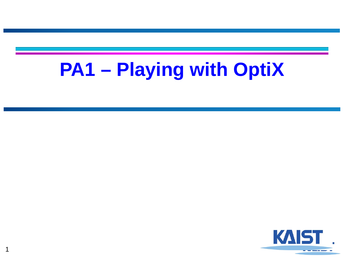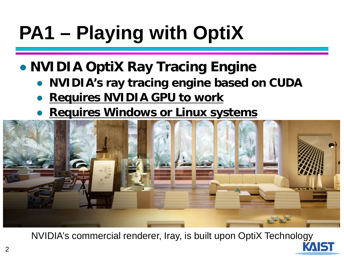### ● **NVIDIA OptiX Ray Tracing Engine**

- **NVIDIA's ray tracing engine based on CUDA**
- **Requires NVIDIA GPU to work**
- **Requires Windows or Linux systems**



NVIDIA's commercial renderer, Iray, is built upon OptiX Technology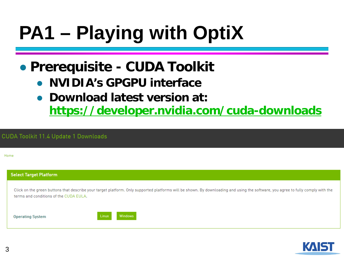### ● **Prerequisite - CUDA Toolkit**

- **NVIDIA's GPGPU interface**
- **Download latest version at:**

**<https://developer.nvidia.com/cuda-downloads>**

#### **CUDA Toolkit 11.4 Update 1 Downloads**

Home

|  | <b>Select Target Platform</b> |  |  |
|--|-------------------------------|--|--|
|  |                               |  |  |

Click on the green buttons that describe your target platform. Only supported platforms will be shown. By downloading and using the software, you agree to fully comply with the terms and conditions of the CUDA FULA.

**Operating System** 



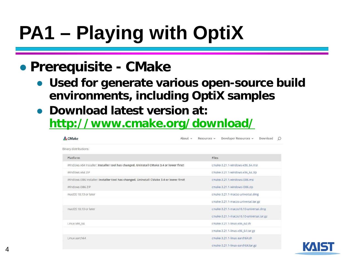### ● **Prerequisite - CMake**

- **Used for generate various open-source build environments, including OptiX samples**
- **Download latest version at: <http://www.cmake.org/download/>**

| <b>A</b> CMake                                                                          | About $\sim$ | Resources v | Developer Resources v                    | Download | O |  |  |  |
|-----------------------------------------------------------------------------------------|--------------|-------------|------------------------------------------|----------|---|--|--|--|
| Binary distributions:                                                                   |              |             |                                          |          |   |  |  |  |
| Platform                                                                                |              | Files       |                                          |          |   |  |  |  |
| Windows x64 Installer: Installer tool has changed. Uninstall CMake 3.4 or lower first!  |              |             | cmake-3.21.1-windows-x86_64.msi          |          |   |  |  |  |
| Windows x64 ZIP                                                                         |              |             | cmake-3.21.1-windows-x86_64.zip          |          |   |  |  |  |
| Windows i386 Installer: Installer tool has changed. Uninstall CMake 3.4 or lower first! |              |             | cmake-3.21.1-windows-i386.msi            |          |   |  |  |  |
| Windows i386 ZIP                                                                        |              |             | cmake-3.21.1-windows-i386.zip            |          |   |  |  |  |
| macOS 10.13 or later                                                                    |              |             | cmake-3.21.1-macos-universal.dmg         |          |   |  |  |  |
|                                                                                         |              |             | cmake-3.21.1-macos-universal.tar.gz      |          |   |  |  |  |
| macOS 10.10 or later                                                                    |              |             | cmake-3.21.1-macos10.10-universal.dmg    |          |   |  |  |  |
|                                                                                         |              |             | cmake-3.21.1-macos10.10-universal.tar.gz |          |   |  |  |  |
| Linux x86_64                                                                            |              |             | cmake-3.21.1-linux-x86_64.sh             |          |   |  |  |  |
|                                                                                         |              |             | cmake-3.21.1-linux-x86_64.tar.gz         |          |   |  |  |  |
| Linux aarch64                                                                           |              |             | cmake-3.21.1-linux-aarch64.sh            |          |   |  |  |  |
|                                                                                         |              |             | cmake-3.21.1-linux-aarch64.tar.gz        |          |   |  |  |  |

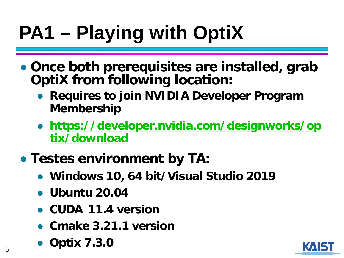- **Once both prerequisites are installed, grab OptiX from following location:**
	- **Requires to join NVIDIA Developer Program Membership**
	- **[https://developer.nvidia.com/designworks/op](https://developer.nvidia.com/designworks/optix/download) tix/download**
- **Testes environment by TA:**
	- **Windows 10, 64 bit/Visual Studio 2019**
	- **Ubuntu 20.04**
	- **CUDA 11.4 version**
	- **Cmake 3.21.1 version**
	- **Optix 7.3.0**

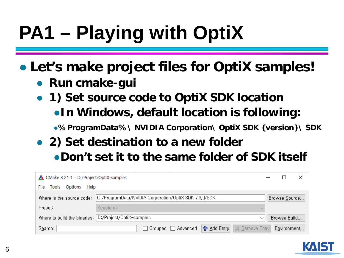● **Let's make project files for OptiX samples!**

- **Run cmake-gui**
- **1) Set source code to OptiX SDK location** ●**In Windows, default location is following:**

●**%ProgramData%\ NVIDIA Corporation\ OptiX SDK {version}\ SDK**

● **2) Set destination to a new folder** ●**Don't set it to the same folder of SDK itself**

| CMake 3.21.1 - D:/Project/OptiX-samples                                         |                                                   |               |              |  |  |  |
|---------------------------------------------------------------------------------|---------------------------------------------------|---------------|--------------|--|--|--|
| Options<br>Help<br>File<br>Tools                                                |                                                   |               |              |  |  |  |
| Where is the source code: C:/ProgramData/NVIDIA Corporation/OptiX SDK 7,3,0/SDK |                                                   | Browse Source |              |  |  |  |
| Preset:                                                                         | <custom></custom>                                 |               |              |  |  |  |
| Where to build the binaries: D:/Project/OptiX-samples<br>$\check{ }$            |                                                   |               | Browse Build |  |  |  |
| S <u>e</u> arch:                                                                | Grouped □ Advanced   ← Add Entry   ※ Remove Entry |               | Environment  |  |  |  |

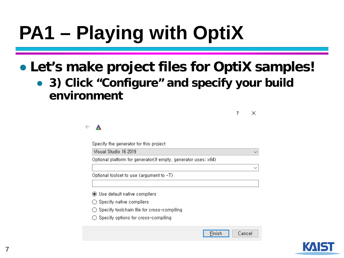### ● **Let's make project files for OptiX samples!**

● **3) Click "Configure" and specify your build environment**

> ?  $\times$

> > $\checkmark$

 $\checkmark$ 

#### $\blacktriangle$  $\leftarrow$

Specify the generator for this project

Visual Studio 16 2019

Optional platform for generator(if empty, generator uses: x64)

Optional toolset to use (argument to -T)

◉ Use default native compilers

 $\bigcirc$  Specify native compilers

- ◯ Specify toolchain file for cross-compiling
- ◯ Specify options for cross-compiling

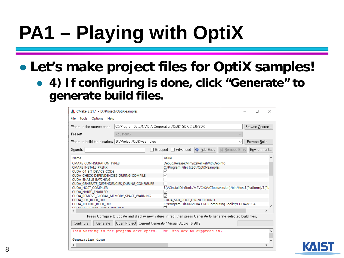- **Let's make project files for OptiX samples!**
	- **4) If configuring is done, click "Generate" to generate build files.**

| CMake 3.21.1 - D:/Project/OptiX-samples                                                                                                                                                                                                                                                                                                                                                                   | ×                 |                                                                                                                                                                                                                                                                  |                                  |  |  |  |
|-----------------------------------------------------------------------------------------------------------------------------------------------------------------------------------------------------------------------------------------------------------------------------------------------------------------------------------------------------------------------------------------------------------|-------------------|------------------------------------------------------------------------------------------------------------------------------------------------------------------------------------------------------------------------------------------------------------------|----------------------------------|--|--|--|
| File Tools Options Help                                                                                                                                                                                                                                                                                                                                                                                   |                   |                                                                                                                                                                                                                                                                  |                                  |  |  |  |
| Where is the source code:                                                                                                                                                                                                                                                                                                                                                                                 |                   | C:/ProgramData/NVIDIA Corporation/OptiX SDK 7.3.0/SDK                                                                                                                                                                                                            | Browse Source                    |  |  |  |
| Preset:                                                                                                                                                                                                                                                                                                                                                                                                   | <custom></custom> |                                                                                                                                                                                                                                                                  |                                  |  |  |  |
| Where to build the binaries: D:/Project/OptiX-samples                                                                                                                                                                                                                                                                                                                                                     |                   |                                                                                                                                                                                                                                                                  | Browse Build<br>$\checkmark$     |  |  |  |
| S <u>e</u> arch:                                                                                                                                                                                                                                                                                                                                                                                          |                   | 수 Add Entry<br>Grouped   Advanced                                                                                                                                                                                                                                | Environment,,<br>S& Remove Entry |  |  |  |
| Name                                                                                                                                                                                                                                                                                                                                                                                                      |                   | Value                                                                                                                                                                                                                                                            |                                  |  |  |  |
| CMAKE_CONFIGURATION_TYPES<br>CMAKE INSTALL PREFIX<br>CUDA 64 BIT DEVICE CODE<br>CUDA CHECK DEPENDENCIES DURING COMPILE<br><b>CUDA ENABLE BATCHING</b><br>CUDA_GENERATE_DEPENDENCIES_DURING_CONFIGURE<br><b>CUDA HOST COMPILER</b><br><b>CUDA NVRTC ENABLED</b><br>CUDA REMOVE GLOBAL MEMORY SPACE WARNING<br><b>CUDA SDK ROOT DIR</b><br><b>CUDA TOOLKIT ROOT DIR</b><br>CHIDA HICE CTATIC CHIDA DHAITIME |                   | Debug;Release;MinSizeRel;RelWithDebInfo<br>C:/Program Files (x86)/OptiX-Samples<br>\$(VCInstallDir)Tools/MSVC/\$(VCToolsVersion)/bin/Host\$(Platform)/\$(Pl-<br>∨<br>CUDA SDK ROOT DIR-NOTFOUND<br>C:/Program Files/NVIDIA GPU Computing Toolkit/CUDA/v11.4<br>□ |                                  |  |  |  |
| ∢                                                                                                                                                                                                                                                                                                                                                                                                         |                   |                                                                                                                                                                                                                                                                  | $\rightarrow$                    |  |  |  |
| Press Configure to update and display new values in red, then press Generate to generate selected build files,<br>Configure<br>Open Project   Current Generator: Visual Studio 16 2019<br>Generate                                                                                                                                                                                                        |                   |                                                                                                                                                                                                                                                                  |                                  |  |  |  |
|                                                                                                                                                                                                                                                                                                                                                                                                           |                   | This warning is for project developers. Use -Wno-dev to suppress it.                                                                                                                                                                                             |                                  |  |  |  |
| Generating done                                                                                                                                                                                                                                                                                                                                                                                           |                   |                                                                                                                                                                                                                                                                  |                                  |  |  |  |
| ≺                                                                                                                                                                                                                                                                                                                                                                                                         |                   |                                                                                                                                                                                                                                                                  |                                  |  |  |  |

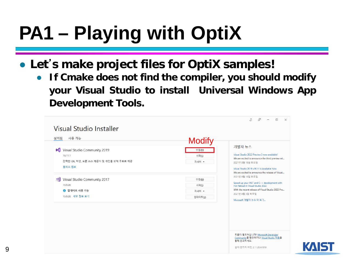#### ● **Let**' **s make project files for OptiX samples!**

● **If Cmake does not find the compiler, you should modify your Visual Studio to install Universal Windows App Development Tools.**

| Visual Studio Installer                                                                                 |                                    |                                                                                                                                                                                                                                 |
|---------------------------------------------------------------------------------------------------------|------------------------------------|---------------------------------------------------------------------------------------------------------------------------------------------------------------------------------------------------------------------------------|
| 사용 가능<br>설치됨                                                                                            | <b>Modify</b>                      |                                                                                                                                                                                                                                 |
| Visual Studio Community 2019<br><b>M</b><br>16.11.1<br>강력한 IDE, 학생, 오픈 소스 제공자 및 개인을 위해 무료로 제공<br>릴리스 정보 | 수정(M)<br>시작(L)<br>자세히 ▼            | 개발자 뉴스<br>Visual Studio 2022 Preview 3 now available!<br>We are excited to announce the third preview rel<br>2021년 8월 10일 화요일<br>Visual Studio 2019 v16.11 is Available Now<br>We are excited to announce the release of Visual |
| Visual Studio Community 2017<br>⊠∥<br>15.9.36<br>$\bigoplus$ 업데이트 사용 가능<br>15.9.38 세부 정보 보기             | 수정(M)<br>시작(L)<br>자세히 ▼<br>업데이트(U) | 2021년 8월 10일 화요일<br>Speed up your .NET and C++ development with<br>Hot Reload in Visual Studio 2022<br>With the recent release of Visual Studio 2022 Pre<br>2021년 8월 3일 화요일<br>Microsoft 개발자 뉴스 더 보기                            |

도움이 필요하십니까? Microsoft Developer Community를 확인하거나 Visual Studio 지원을 통해 문의하세요.

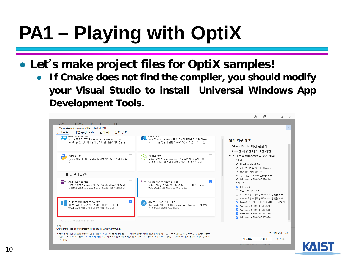- **Let**' **s make project files for OptiX samples!**
	- **If Cmake does not find the compiler, you should modify your Visual Studio to install Universal Windows App Development Tools.**

|                                                                                                                                                                                                            |                                                                                                                        | $\mathbb{R}^n$<br>×                                                                                                                                                                                 |
|------------------------------------------------------------------------------------------------------------------------------------------------------------------------------------------------------------|------------------------------------------------------------------------------------------------------------------------|-----------------------------------------------------------------------------------------------------------------------------------------------------------------------------------------------------|
| Vieual Cturato Installer                                                                                                                                                                                   |                                                                                                                        |                                                                                                                                                                                                     |
| - Visual Studio Community 2019 - 16.11.1 수정                                                                                                                                                                |                                                                                                                        | $\mathsf{X}$                                                                                                                                                                                        |
| 위크로드<br>개별 구성 요소<br>언어 팩<br>설치 위치                                                                                                                                                                          |                                                                                                                        |                                                                                                                                                                                                     |
| ASP.NET 및 웹 개별<br>Docker 지원이 포함<br>Docker 지원이 포함된 ASP.NET Core, ASP.NET, HTML/<br>JavaScript 및 컨테이너를 사용하여 웹 애플리케이션을 빌                                                                                      | Azure 개발<br>.NET 및 .NET Framework를 사용하여 클라우드 앱을 개발하<br>고 리소스를 만들기 위한 Azure SDK, 도구 및 프로젝트입                             | 설치 세부 정보                                                                                                                                                                                            |
|                                                                                                                                                                                                            |                                                                                                                        | ▶ Visual Studio 핵심 편집기                                                                                                                                                                              |
| $\Box$<br>Python 개발<br>Python에 대한 편집, 디버깅, 대화형 개발 및 소스 제어입니                                                                                                                                                | $\Box$<br>Node.js 개발<br>[IS<br>비동기 이벤트 구동 JavaScript 런타임인 Node.js를 사용하<br>여 확장 가능한 네트워크 애플리케이션을 빌드합니다                  | ▶ C++를 사용한 데스크톱 개발<br>▼ 유니버설 Windows 플랫폼 개발<br>▼ 포함됨<br>↓ Blend for Visual Studio<br>✔ .NET 네이티브 및 .NET Standard                                                                                    |
| 데스크톱 및 모바일 (5)                                                                                                                                                                                             |                                                                                                                        | ✔ NuGet 패키지 관리자<br>✔ 유니버설 Windows 플랫폼 도구                                                                                                                                                            |
| .NET 데스크톱 개발<br>$\frac{NET}{\sqrt{2}}$<br>.NET 및 .NET Framework와 함께 C#. Visual Basic 및 F#을<br>사용하여 WPF. Windows Forms 및 콘솔 애플리케이션을                                                                         | C++를 사용한 데스크톱 개발<br>$\blacktriangledown$<br>MSVC, Clang, CMake 또는 MSBuild 등 선택한 도구를 사용<br>하여 Windows용 최신 C++ 앱을 빌드합니다. | ◆ Windows 10 SDK(10.0.19041.0)<br>▼ 선택 사항<br>IntelliCode<br>□ USB 디바이스 연결<br>□ C++(v142) 유니버설 Windows 플랫폼 도구                                                                                        |
| $\checkmark$<br>유니버설 Windows 플랫폼 개발<br>C#, VB 또는 C++(선택 사항)를 사용하여 유니버설<br>Windows 플랫폼용 애플리케이션을 만듭니다.                                                                                                       | .NET을 사용한 모바일 개발<br>$\boldsymbol{\times}$<br>Xamarin을 사용하여 iOS, Android 또는 Windows용 플랫폼<br>간 애플리케이션을 빌드합니다.            | □ C++(v141) 유니버설 Windows 플랫폼 도구<br>✔ DirectX용 그래픽 디버거 및 GPU 프로파일러<br>Windows 10 SDK(10.0.18362.0)<br>V Windows 10 SDK(10.0.17763.0)<br>Windows 10 SDK(10.0.17134.0)<br>Windows 10 SDK(10.0.16299.0) |
| <u>○ 큰 표요청 다방이 개비</u>                                                                                                                                                                                      |                                                                                                                        |                                                                                                                                                                                                     |
| 위치<br>C:\Program Files (x86)\Microsoft Visual Studio\2019\Community                                                                                                                                        |                                                                                                                        |                                                                                                                                                                                                     |
| 계속하면 선택한 Visual Studio 버전에 대한 <u>라이선스</u> 에 동의하게 됩니다. Microsoft는 Visual Studio와 함께 다른 소프트웨어를 다운로드할 수 있는 기능도<br>제공합니다. 이 소프트웨어는 타사 고지 사항 또는 해당 라이선스에 명시된 것처럼 별도로 라이선스가 허여됩니다. 계속하면 이러한 라이선스에도 동의하<br>게 됩니다. |                                                                                                                        | 필요한 전체 공간 0B<br>다운로드하는 동안 설치<br>닫기(C)                                                                                                                                                               |
|                                                                                                                                                                                                            |                                                                                                                        |                                                                                                                                                                                                     |

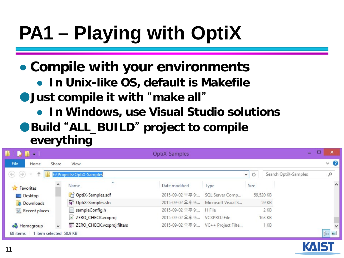### ● **Compile with your environments**

- **In Unix-like OS, default is Makefile**
- ●**Just compile it with** "**make all**"
	- **In Windows, use Visual Studio solutions**
- ●**Build** "**ALL\_BUILD**" **project to compile everything**

| $\mathcal{L} \parallel \mathcal{L} = \bot$ |                                 | OptiX-Samples                       |                                     |                 |                      |   | ×                   |
|--------------------------------------------|---------------------------------|-------------------------------------|-------------------------------------|-----------------|----------------------|---|---------------------|
| File<br>Share<br>Home                      | View                            |                                     |                                     |                 |                      |   | $\vee$ 0            |
| $(\Leftrightarrow)$                        | E:\Projects\OptiX-Samples       |                                     |                                     | Ċ<br>v.         | Search OptiX-Samples | Q |                     |
| <b>A</b> Favorites                         | Name                            | Date modified                       | Type                                | Size            |                      |   | $\hat{\phantom{a}}$ |
| Desktop                                    | OptiX-Samples.sdf               | 2015-09-02 오후 9:                    | SQL Server Comp                     | 59,520 KB       |                      |   |                     |
| Downloads                                  | OptiX-Samples.sln               | 2015-09-02 오후 9: Microsoft Visual S |                                     | <b>59 KB</b>    |                      |   |                     |
| Recent places                              | sampleConfig.h                  | 2015-09-02 오후 9: H File             |                                     | 2 KB            |                      |   |                     |
|                                            | ZERO_CHECK.vcxproj<br>$\bullet$ | 2015-09-02 오후 9: VCXPROJ File       |                                     | 163 KB          |                      |   |                     |
| <b>Homegroup</b>                           | E ZERO_CHECK.vcxproj.filters    |                                     | 2015-09-02 오후 9: VC++ Project Filte | 1 <sub>KB</sub> |                      |   |                     |
| 68 items<br>item selected 58.9 KB          |                                 |                                     |                                     |                 |                      | 睚 | N                   |